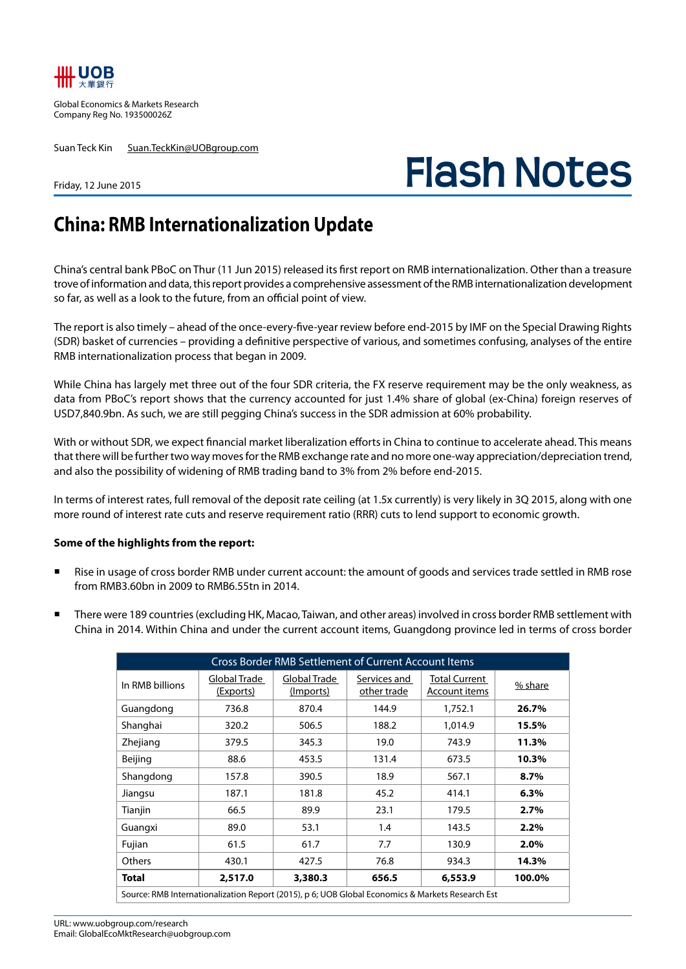

Global Economics & Markets Research Company Reg No. 193500026Z

Suan Teck Kin Suan.TeckKin@UOBgroup.com

**Flash Notes**

## Friday, 12 June 2015

## **China: RMB Internationalization Update**

China's central bank PBoC on Thur (11 Jun 2015) released its first report on RMB internationalization. Other than a treasure trove of information and data, this report provides a comprehensive assessment of the RMB internationalization development so far, as well as a look to the future, from an official point of view.

The report is also timely – ahead of the once-every-five-year review before end-2015 by IMF on the Special Drawing Rights (SDR) basket of currencies – providing a definitive perspective of various, and sometimes confusing, analyses of the entire RMB internationalization process that began in 2009.

While China has largely met three out of the four SDR criteria, the FX reserve requirement may be the only weakness, as data from PBoC's report shows that the currency accounted for just 1.4% share of global (ex-China) foreign reserves of USD7,840.9bn. As such, we are still pegging China's success in the SDR admission at 60% probability.

With or without SDR, we expect financial market liberalization efforts in China to continue to accelerate ahead. This means that there will be further two way moves for the RMB exchange rate and no more one-way appreciation/depreciation trend, and also the possibility of widening of RMB trading band to 3% from 2% before end-2015.

In terms of interest rates, full removal of the deposit rate ceiling (at 1.5x currently) is very likely in 3Q 2015, along with one more round of interest rate cuts and reserve requirement ratio (RRR) cuts to lend support to economic growth.

## **Some of the highlights from the report:**

- Rise in usage of cross border RMB under current account: the amount of goods and services trade settled in RMB rose from RMB3.60bn in 2009 to RMB6.55tn in 2014.
- There were 189 countries (excluding HK, Macao, Taiwan, and other areas) involved in cross border RMB settlement with China in 2014. Within China and under the current account items, Guangdong province led in terms of cross border

| <b>Cross Border RMB Settlement of Current Account Items</b>                                      |                                  |                           |                             |                                       |         |  |  |  |  |  |  |
|--------------------------------------------------------------------------------------------------|----------------------------------|---------------------------|-----------------------------|---------------------------------------|---------|--|--|--|--|--|--|
| In RMB billions                                                                                  | Global Trade<br><u>(Exports)</u> | Global Trade<br>(Imports) | Services and<br>other trade | <b>Total Current</b><br>Account items | % share |  |  |  |  |  |  |
| Guangdong                                                                                        | 736.8                            | 870.4                     | 144.9                       | 1,752.1                               | 26.7%   |  |  |  |  |  |  |
| Shanghai                                                                                         | 320.2                            | 506.5                     | 188.2                       | 1,014.9                               | 15.5%   |  |  |  |  |  |  |
| Zhejiang                                                                                         | 379.5                            | 345.3                     | 19.0                        | 743.9                                 | 11.3%   |  |  |  |  |  |  |
| Beijing                                                                                          | 88.6                             | 453.5                     | 131.4                       | 673.5                                 | 10.3%   |  |  |  |  |  |  |
| Shangdong                                                                                        | 157.8                            | 390.5                     | 18.9                        | 567.1                                 | 8.7%    |  |  |  |  |  |  |
| Jiangsu                                                                                          | 187.1                            | 181.8                     | 45.2                        | 414.1                                 | 6.3%    |  |  |  |  |  |  |
| Tianjin                                                                                          | 66.5                             | 89.9                      | 23.1                        | 179.5                                 | 2.7%    |  |  |  |  |  |  |
| Guangxi                                                                                          | 89.0                             | 53.1                      | 1.4                         | 143.5                                 | 2.2%    |  |  |  |  |  |  |
| Fujian                                                                                           | 61.5                             | 61.7                      | 7.7                         | 130.9                                 | 2.0%    |  |  |  |  |  |  |
| Others                                                                                           | 430.1                            | 427.5                     | 76.8                        | 934.3                                 | 14.3%   |  |  |  |  |  |  |
| <b>Total</b>                                                                                     | 2,517.0                          | 3,380.3                   | 656.5                       | 6,553.9                               | 100.0%  |  |  |  |  |  |  |
| Source: RMB Internationalization Report (2015), p 6; UOB Global Economics & Markets Research Est |                                  |                           |                             |                                       |         |  |  |  |  |  |  |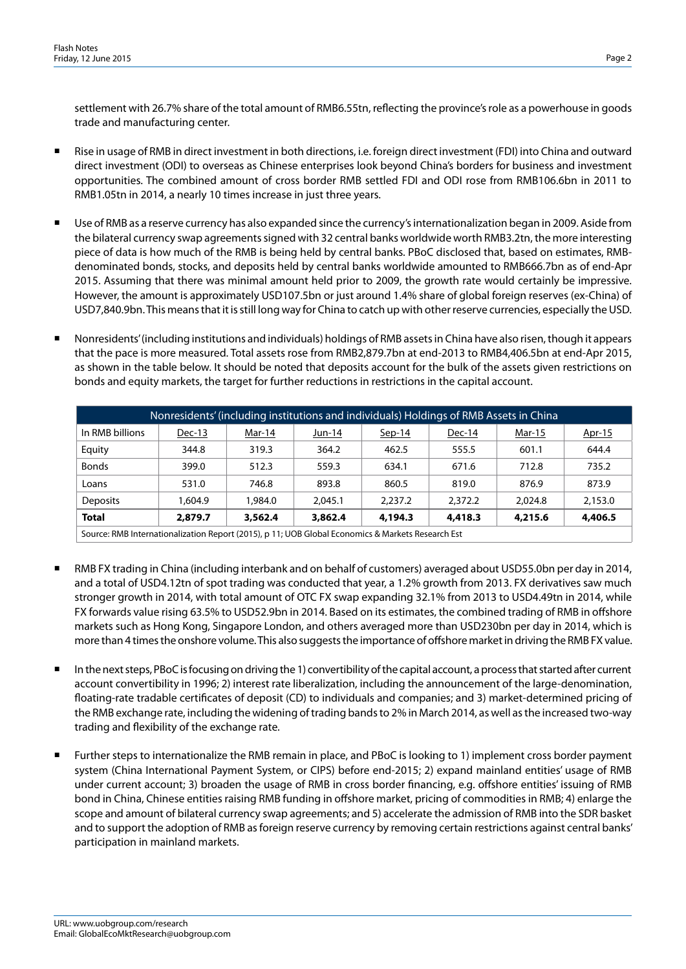settlement with 26.7% share of the total amount of RMB6.55tn, reflecting the province's role as a powerhouse in goods trade and manufacturing center.

- Rise in usage of RMB in direct investment in both directions, i.e. foreign direct investment (FDI) into China and outward direct investment (ODI) to overseas as Chinese enterprises look beyond China's borders for business and investment opportunities. The combined amount of cross border RMB settled FDI and ODI rose from RMB106.6bn in 2011 to RMB1.05tn in 2014, a nearly 10 times increase in just three years.
- Use of RMB as a reserve currency has also expanded since the currency's internationalization began in 2009. Aside from the bilateral currency swap agreements signed with 32 central banks worldwide worth RMB3.2tn, the more interesting piece of data is how much of the RMB is being held by central banks. PBoC disclosed that, based on estimates, RMBdenominated bonds, stocks, and deposits held by central banks worldwide amounted to RMB666.7bn as of end-Apr 2015. Assuming that there was minimal amount held prior to 2009, the growth rate would certainly be impressive. However, the amount is approximately USD107.5bn or just around 1.4% share of global foreign reserves (ex-China) of USD7,840.9bn. This means that it is still long way for China to catch up with other reserve currencies, especially the USD.
- Nonresidents' (including institutions and individuals) holdings of RMB assets in China have also risen, though it appears that the pace is more measured. Total assets rose from RMB2,879.7bn at end-2013 to RMB4,406.5bn at end-Apr 2015, as shown in the table below. It should be noted that deposits account for the bulk of the assets given restrictions on bonds and equity markets, the target for further reductions in restrictions in the capital account.

| Nonresidents' (including institutions and individuals) Holdings of RMB Assets in China           |          |         |         |          |         |         |         |  |  |  |
|--------------------------------------------------------------------------------------------------|----------|---------|---------|----------|---------|---------|---------|--|--|--|
| In RMB billions                                                                                  | $Dec-13$ | Mar-14  | Jun-14  | $Sep-14$ | Dec-14  | Mar-15  | Apr-15  |  |  |  |
| Equity                                                                                           | 344.8    | 319.3   | 364.2   | 462.5    | 555.5   | 601.1   | 644.4   |  |  |  |
| <b>Bonds</b>                                                                                     | 399.0    | 512.3   | 559.3   | 634.1    | 671.6   | 712.8   | 735.2   |  |  |  |
| Loans                                                                                            | 531.0    | 746.8   | 893.8   | 860.5    | 819.0   | 876.9   | 873.9   |  |  |  |
| <b>Deposits</b>                                                                                  | 1.604.9  | 1,984.0 | 2.045.1 | 2.237.2  | 2,372.2 | 2.024.8 | 2,153.0 |  |  |  |
| <b>Total</b>                                                                                     | 2,879.7  | 3,562.4 | 3,862.4 | 4,194.3  | 4,418.3 | 4,215.6 | 4,406.5 |  |  |  |
| Course DMD Internationalization Denort (2015) in 11.1100 Clobal Economics & Markets Desearch Est |          |         |         |          |         |         |         |  |  |  |

Source: RMB Internationalization Report (2015), p 11; UOB Global Economics & Markets Research Est

- RMB FX trading in China (including interbank and on behalf of customers) averaged about USD55.0bn per day in 2014, and a total of USD4.12tn of spot trading was conducted that year, a 1.2% growth from 2013. FX derivatives saw much stronger growth in 2014, with total amount of OTC FX swap expanding 32.1% from 2013 to USD4.49tn in 2014, while FX forwards value rising 63.5% to USD52.9bn in 2014. Based on its estimates, the combined trading of RMB in offshore markets such as Hong Kong, Singapore London, and others averaged more than USD230bn per day in 2014, which is more than 4 times the onshore volume. This also suggests the importance of offshore market in driving the RMB FX value.
- In the next steps, PBoC is focusing on driving the 1) convertibility of the capital account, a process that started after current account convertibility in 1996; 2) interest rate liberalization, including the announcement of the large-denomination, floating-rate tradable certificates of deposit (CD) to individuals and companies; and 3) market-determined pricing of the RMB exchange rate, including the widening of trading bands to 2% in March 2014, as well as the increased two-way trading and flexibility of the exchange rate.
- Further steps to internationalize the RMB remain in place, and PBoC is looking to 1) implement cross border payment system (China International Payment System, or CIPS) before end-2015; 2) expand mainland entities' usage of RMB under current account; 3) broaden the usage of RMB in cross border financing, e.g. offshore entities' issuing of RMB bond in China, Chinese entities raising RMB funding in offshore market, pricing of commodities in RMB; 4) enlarge the scope and amount of bilateral currency swap agreements; and 5) accelerate the admission of RMB into the SDR basket and to support the adoption of RMB as foreign reserve currency by removing certain restrictions against central banks' participation in mainland markets.